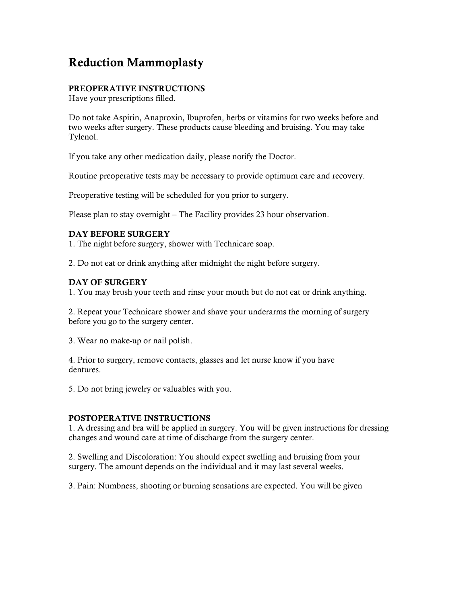# Reduction Mammoplasty

## PREOPERATIVE INSTRUCTIONS

Have your prescriptions filled.

Do not take Aspirin, Anaproxin, Ibuprofen, herbs or vitamins for two weeks before and two weeks after surgery. These products cause bleeding and bruising. You may take Tylenol.

If you take any other medication daily, please notify the Doctor.

Routine preoperative tests may be necessary to provide optimum care and recovery.

Preoperative testing will be scheduled for you prior to surgery.

Please plan to stay overnight – The Facility provides 23 hour observation.

### DAY BEFORE SURGERY

1. The night before surgery, shower with Technicare soap.

2. Do not eat or drink anything after midnight the night before surgery.

### DAY OF SURGERY

1. You may brush your teeth and rinse your mouth but do not eat or drink anything.

2. Repeat your Technicare shower and shave your underarms the morning of surgery before you go to the surgery center.

3. Wear no make-up or nail polish.

4. Prior to surgery, remove contacts, glasses and let nurse know if you have dentures.

5. Do not bring jewelry or valuables with you.

#### POSTOPERATIVE INSTRUCTIONS

1. A dressing and bra will be applied in surgery. You will be given instructions for dressing changes and wound care at time of discharge from the surgery center.

2. Swelling and Discoloration: You should expect swelling and bruising from your surgery. The amount depends on the individual and it may last several weeks.

3. Pain: Numbness, shooting or burning sensations are expected. You will be given